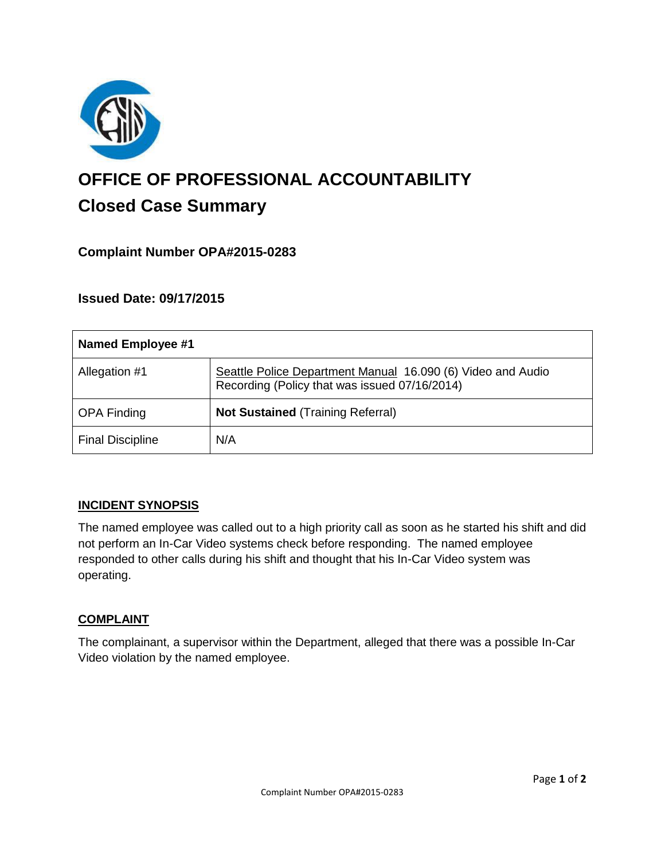

# **OFFICE OF PROFESSIONAL ACCOUNTABILITY Closed Case Summary**

## **Complaint Number OPA#2015-0283**

## **Issued Date: 09/17/2015**

| <b>Named Employee #1</b> |                                                                                                              |
|--------------------------|--------------------------------------------------------------------------------------------------------------|
| Allegation #1            | Seattle Police Department Manual 16.090 (6) Video and Audio<br>Recording (Policy that was issued 07/16/2014) |
| <b>OPA Finding</b>       | <b>Not Sustained (Training Referral)</b>                                                                     |
| <b>Final Discipline</b>  | N/A                                                                                                          |

## **INCIDENT SYNOPSIS**

The named employee was called out to a high priority call as soon as he started his shift and did not perform an In-Car Video systems check before responding. The named employee responded to other calls during his shift and thought that his In-Car Video system was operating.

#### **COMPLAINT**

The complainant, a supervisor within the Department, alleged that there was a possible In-Car Video violation by the named employee.